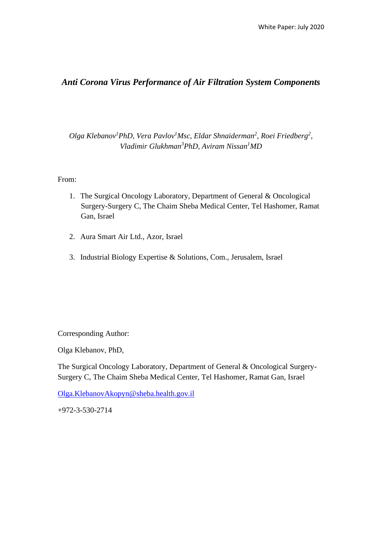# *Anti Corona Virus Performance of Air Filtration System Components*

*Olga Klebanov<sup>1</sup>PhD, Vera Pavlov<sup>1</sup>Msc, Eldar Shnaiderman<sup>2</sup> , Roei Friedberg<sup>2</sup> , Vladimir Glukhman<sup>3</sup>PhD, Aviram Nissan<sup>1</sup>MD*

From:

- 1. The Surgical Oncology Laboratory, Department of General & Oncological Surgery-Surgery C, The Chaim Sheba Medical Center, Tel Hashomer, Ramat Gan, Israel
- 2. Aura Smart Air Ltd., Azor, Israel
- 3. Industrial Biology Expertise & Solutions, Com., Jerusalem, Israel

Corresponding Author:

Olga Klebanov, PhD,

The Surgical Oncology Laboratory, Department of General & Oncological Surgery-Surgery C, The Chaim Sheba Medical Center, Tel Hashomer, Ramat Gan, Israel

[Olga.KlebanovAkopyn@sheba.health.gov.il](mailto:Olga.KlebanovAkopyn@sheba.health.gov.il)

+972-3-530-2714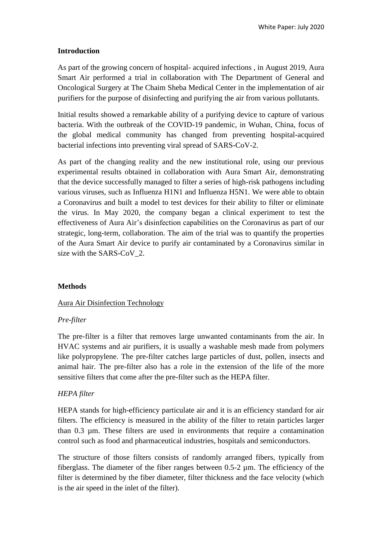### **Introduction**

As part of the growing concern of hospital- acquired infections , in August 2019, Aura Smart Air performed a trial in collaboration with The Department of General and Oncological Surgery at The Chaim Sheba Medical Center in the implementation of air purifiers for the purpose of disinfecting and purifying the air from various pollutants.

Initial results showed a remarkable ability of a purifying device to capture of various bacteria. With the outbreak of the COVID-19 pandemic, in Wuhan, China, focus of the global medical community has changed from preventing hospital-acquired bacterial infections into preventing viral spread of SARS-CoV-2.

As part of the changing reality and the new institutional role, using our previous experimental results obtained in collaboration with Aura Smart Air, demonstrating that the device successfully managed to filter a series of high-risk pathogens including various viruses, such as Influenza H1N1 and Influenza H5N1. We were able to obtain a Coronavirus and built a model to test devices for their ability to filter or eliminate the virus. In May 2020, the company began a clinical experiment to test the effectiveness of Aura Air's disinfection capabilities on the Coronavirus as part of our strategic, long-term, collaboration. The aim of the trial was to quantify the properties of the Aura Smart Air device to purify air contaminated by a Coronavirus similar in size with the SARS-CoV\_2.

### **Methods**

### Aura Air Disinfection Technology

### *Pre-filter*

The pre-filter is a filter that removes large unwanted contaminants from the air. In HVAC systems and air purifiers, it is usually a washable mesh made from polymers like polypropylene. The pre-filter catches large particles of dust, pollen, insects and animal hair. The pre-filter also has a role in the extension of the life of the more sensitive filters that come after the pre-filter such as the HEPA filter.

# *HEPA filter*

HEPA stands for high-efficiency particulate air and it is an efficiency standard for air filters. The efficiency is measured in the ability of the filter to retain particles larger than 0.3 µm. These filters are used in environments that require a contamination control such as food and pharmaceutical industries, hospitals and semiconductors.

The structure of those filters consists of randomly arranged fibers, typically from fiberglass. The diameter of the fiber ranges between 0.5-2 µm. The efficiency of the filter is determined by the fiber diameter, filter thickness and the face velocity (which is the air speed in the inlet of the filter).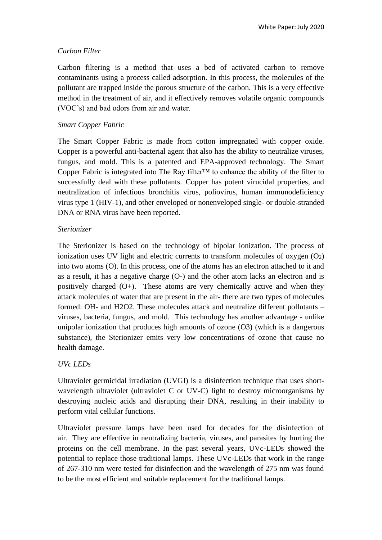## *Carbon Filter*

Carbon filtering is a method that uses a bed of activated carbon to remove contaminants using a process called adsorption. In this process, the molecules of the pollutant are trapped inside the porous structure of the carbon. This is a very effective method in the treatment of air, and it effectively removes volatile organic compounds (VOC's) and bad odors from air and water.

## *Smart Copper Fabric*

The Smart Copper Fabric is made from cotton impregnated with copper oxide. Copper is a powerful anti-bacterial agent that also has the ability to neutralize viruses, fungus, and mold. This is a patented and EPA-approved technology. The Smart Copper Fabric is integrated into The Ray filter™ to enhance the ability of the filter to successfully deal with these pollutants. Copper has potent virucidal properties, and neutralization of infectious bronchitis virus, poliovirus, human immunodeficiency virus type 1 (HIV-1), and other enveloped or nonenveloped single- or double-stranded DNA or RNA virus have been reported.

# *Sterionizer*

The Sterionizer is based on the technology of bipolar ionization. The process of ionization uses UV light and electric currents to transform molecules of oxygen  $(O_2)$ into two atoms (O). In this process, one of the atoms has an electron attached to it and as a result, it has a negative charge (O-) and the other atom lacks an electron and is positively charged  $(O<sub>+</sub>)$ . These atoms are very chemically active and when they attack molecules of water that are present in the air- there are two types of molecules formed: OH- and H2O2. These molecules attack and neutralize different pollutants – viruses, bacteria, fungus, and mold. This technology has another advantage - unlike unipolar ionization that produces high amounts of ozone (O3) (which is a dangerous substance), the Sterionizer emits very low concentrations of ozone that cause no health damage.

# *UVc LEDs*

Ultraviolet germicidal irradiation (UVGI) is a disinfection technique that uses shortwavelength ultraviolet (ultraviolet C or UV-C) light to destroy microorganisms by destroying nucleic acids and disrupting their DNA, resulting in their inability to perform vital cellular functions.

Ultraviolet pressure lamps have been used for decades for the disinfection of air. They are effective in neutralizing bacteria, viruses, and parasites by hurting the proteins on the cell membrane. In the past several years, UVc-LEDs showed the potential to replace those traditional lamps. These UVc-LEDs that work in the range of 267-310 nm were tested for disinfection and the wavelength of 275 nm was found to be the most efficient and suitable replacement for the traditional lamps.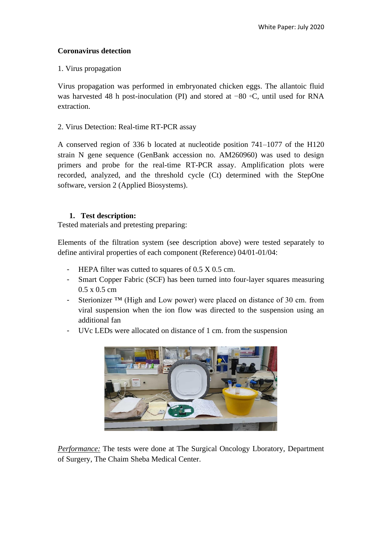### **Coronavirus detection**

#### 1. Virus propagation

Virus propagation was performed in embryonated chicken eggs. The allantoic fluid was harvested 48 h post-inoculation (PI) and stored at −80 ◦C, until used for RNA extraction.

### 2. Virus Detection: Real-time RT-PCR assay

A conserved region of 336 b located at nucleotide position 741–1077 of the H120 strain N gene sequence (GenBank accession no. AM260960) was used to design primers and probe for the real-time RT-PCR assay. Amplification plots were recorded, analyzed, and the threshold cycle (Ct) determined with the StepOne software, version 2 (Applied Biosystems).

### **1. Test description:**

Tested materials and pretesting preparing:

Elements of the filtration system (see description above) were tested separately to define antiviral properties of each component (Reference) 04/01-01/04:

- HEPA filter was cutted to squares of 0.5 X 0.5 cm.
- Smart Copper Fabric (SCF) has been turned into four-layer squares measuring 0.5 x 0.5 cm
- Sterionizer ™ (High and Low power) were placed on distance of 30 cm. from viral suspension when the ion flow was directed to the suspension using an additional fan
- UVc LEDs were allocated on distance of 1 cm. from the suspension



*Performance:* The tests were done at The Surgical Oncology Lboratory, Department of Surgery, The Chaim Sheba Medical Center.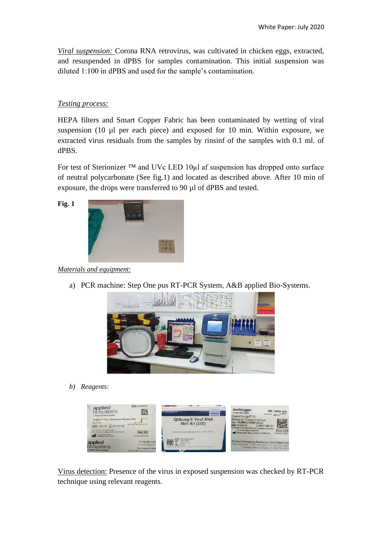*Viral suspension:* Corona RNA retrovirus, was cultivated in chicken eggs, extracted, and resuspended in dPBS for samples contamination. This initial suspension was diluted 1:100 in dPBS and used for the sample's contamination.

### *Testing process:*

HEPA filters and Smart Copper Fabric has been contaminated by wetting of viral suspension (10 µl per each piece) and exposed for 10 min. Within exposure, we extracted virus residuals from the samples by rinsinf of the samples with 0.1 ml. of dPBS.

For test of Sterionizer ™ and UVc LED 10µl af suspension has dropped onto surface of neutral polycarbonate (See fig.1) and located as described above. After 10 min of exposure, the drops were transferred to 90 µl of dPBS and tested.

**Fig. 1**



*Materials and equipment:* 

a) PCR machine: Step One pus RT-PCR System, A&B applied Bio-Systems.



*b) Reagents:* 



Virus detection: Presence of the virus in exposed suspension was checked by RT-PCR technique using relevant reagents.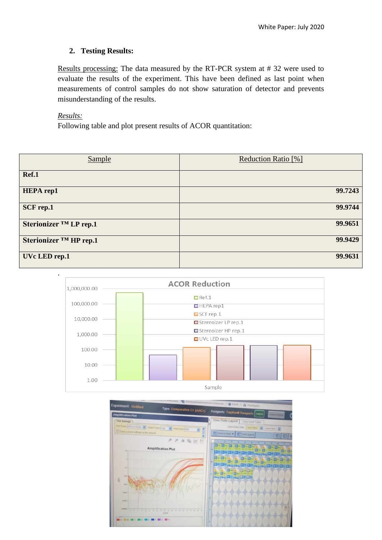#### **2. Testing Results:**

Results processing: The data measured by the RT-PCR system at # 32 were used to evaluate the results of the experiment. This have been defined as last point when measurements of control samples do not show saturation of detector and prevents misunderstanding of the results.

#### *Results:*

Following table and plot present results of ACOR quantitation:

| <b>Sample</b>          | Reduction Ratio [%] |
|------------------------|---------------------|
| Ref.1                  |                     |
| <b>HEPA</b> rep1       | 99.7243             |
| SCF rep.1              | 99.9744             |
| Sterionizer ™ LP rep.1 | 99.9651             |
| Sterionizer ™ HP rep.1 | 99.9429             |
| UVc LED rep.1          | 99.9631             |